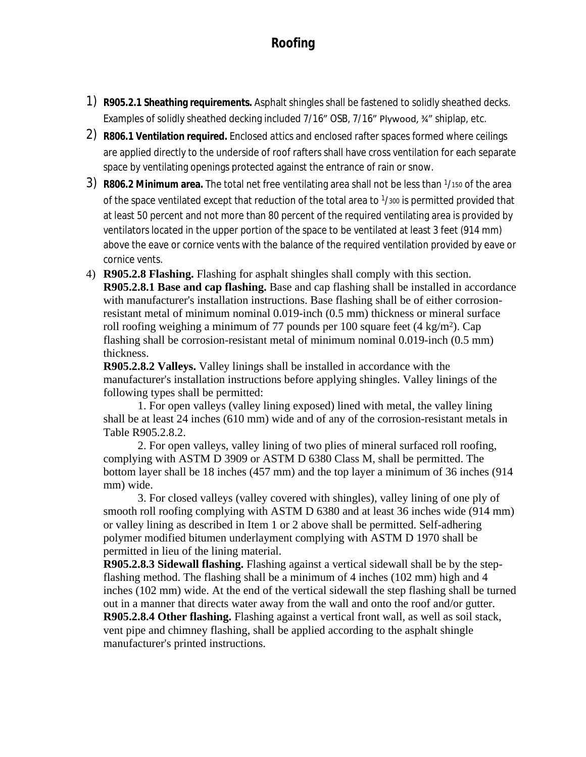## **Roofing**

- 1) **R905.2.1 Sheathing requirements.** Asphalt shingles shall be fastened to solidly sheathed decks. Examples of solidly sheathed decking included 7/16" OSB, 7/16" Plywood, ¾" shiplap, etc.
- 2) **R806.1 Ventilation required.** Enclosed *attics* and enclosed rafter spaces formed where ceilings are applied directly to the underside of roof rafters shall have cross ventilation for each separate space by ventilating openings protected against the entrance of rain or snow.
- 3) **R806.2 Minimum area.** The total net free ventilating area shall not be less than <sup>1</sup> /150 of the area of the space ventilated except that reduction of the total area to 1/300 is permitted provided that at least 50 percent and not more than 80 percent of the required ventilating area is provided by ventilators located in the upper portion of the space to be ventilated at least 3 feet (914 mm) above the eave or cornice vents with the balance of the required ventilation provided by eave or cornice vents.
- 4) **R905.2.8 Flashing.** Flashing for asphalt shingles shall comply with this section. **R905.2.8.1 Base and cap flashing.** Base and cap flashing shall be installed in accordance with manufacturer's installation instructions. Base flashing shall be of either corrosionresistant metal of minimum nominal 0.019-inch (0.5 mm) thickness or mineral surface roll roofing weighing a minimum of 77 pounds per 100 square feet (4 kg/m<sup>2</sup>). Cap flashing shall be corrosion-resistant metal of minimum nominal 0.019-inch (0.5 mm) thickness.

**R905.2.8.2 Valleys.** Valley linings shall be installed in accordance with the manufacturer's installation instructions before applying shingles. Valley linings of the following types shall be permitted:

1. For open valleys (valley lining exposed) lined with metal, the valley lining shall be at least 24 inches (610 mm) wide and of any of the corrosion-resistant metals in Table R905.2.8.2.

2. For open valleys, valley lining of two plies of mineral surfaced roll roofing, complying with ASTM D 3909 or ASTM D 6380 Class M, shall be permitted. The bottom layer shall be 18 inches (457 mm) and the top layer a minimum of 36 inches (914 mm) wide.

3. For closed valleys (valley covered with shingles), valley lining of one ply of smooth roll roofing complying with ASTM D 6380 and at least 36 inches wide (914 mm) or valley lining as described in Item 1 or 2 above shall be permitted. Self-adhering polymer modified bitumen underlayment complying with ASTM D 1970 shall be permitted in lieu of the lining material.

**R905.2.8.3 Sidewall flashing.** Flashing against a vertical sidewall shall be by the stepflashing method. The flashing shall be a minimum of 4 inches (102 mm) high and 4 inches (102 mm) wide. At the end of the vertical sidewall the step flashing shall be turned out in a manner that directs water away from the wall and onto the roof and/or gutter. **R905.2.8.4 Other flashing.** Flashing against a vertical front wall, as well as soil stack, vent pipe and chimney flashing, shall be applied according to the asphalt shingle manufacturer's printed instructions.